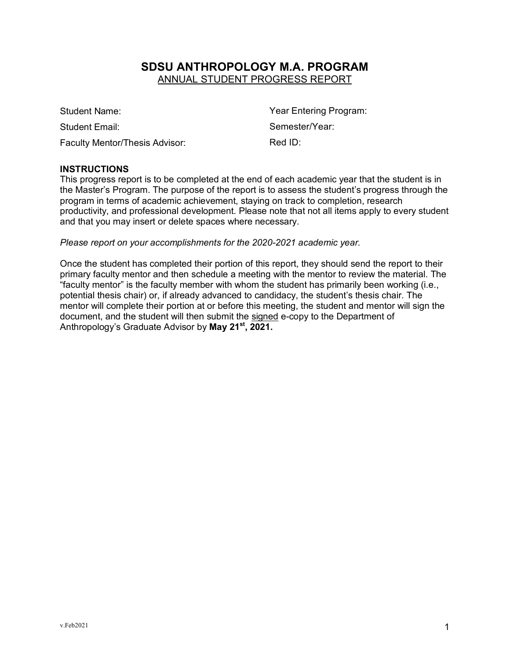# **SDSU ANTHROPOLOGY M.A. PROGRAM** ANNUAL STUDENT PROGRESS REPORT

Student Name: Student Name: Student Name: Student Name: Student Name: Student Name: Student Name: Student Name Student Email: Student Email: Semester/Year: Faculty Mentor/Thesis Advisor: Red ID:

#### **INSTRUCTIONS**

This progress report is to be completed at the end of each academic year that the student is in the Master's Program. The purpose of the report is to assess the student's progress through the program in terms of academic achievement, staying on track to completion, research productivity, and professional development. Please note that not all items apply to every student and that you may insert or delete spaces where necessary.

*Please report on your accomplishments for the 2020-2021 academic year.*

Once the student has completed their portion of this report, they should send the report to their primary faculty mentor and then schedule a meeting with the mentor to review the material. The "faculty mentor" is the faculty member with whom the student has primarily been working (i.e., potential thesis chair) or, if already advanced to candidacy, the student's thesis chair. The mentor will complete their portion at or before this meeting, the student and mentor will sign the document, and the student will then submit the signed e-copy to the Department of Anthropology's Graduate Advisor by **May 21st, 2021.**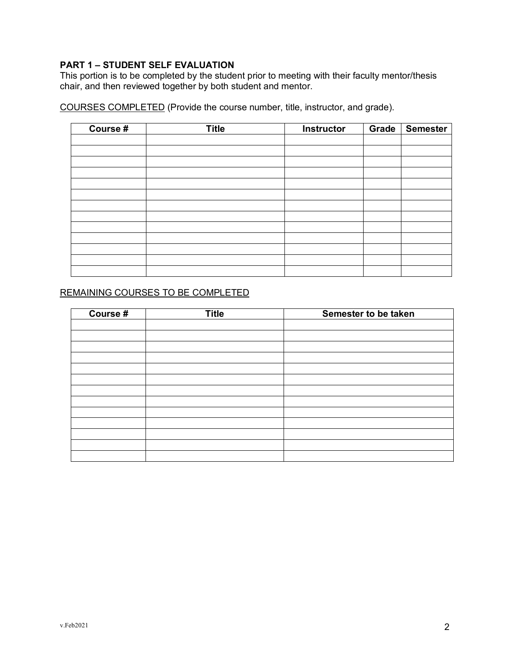## **PART 1 – STUDENT SELF EVALUATION**

This portion is to be completed by the student prior to meeting with their faculty mentor/thesis chair, and then reviewed together by both student and mentor.

COURSES COMPLETED (Provide the course number, title, instructor, and grade).

| Course # | <b>Title</b> | <b>Instructor</b> | Grade | <b>Semester</b> |
|----------|--------------|-------------------|-------|-----------------|
|          |              |                   |       |                 |
|          |              |                   |       |                 |
|          |              |                   |       |                 |
|          |              |                   |       |                 |
|          |              |                   |       |                 |
|          |              |                   |       |                 |
|          |              |                   |       |                 |
|          |              |                   |       |                 |
|          |              |                   |       |                 |
|          |              |                   |       |                 |
|          |              |                   |       |                 |
|          |              |                   |       |                 |
|          |              |                   |       |                 |

### REMAINING COURSES TO BE COMPLETED

| Course # | <b>Title</b> | Semester to be taken |
|----------|--------------|----------------------|
|          |              |                      |
|          |              |                      |
|          |              |                      |
|          |              |                      |
|          |              |                      |
|          |              |                      |
|          |              |                      |
|          |              |                      |
|          |              |                      |
|          |              |                      |
|          |              |                      |
|          |              |                      |
|          |              |                      |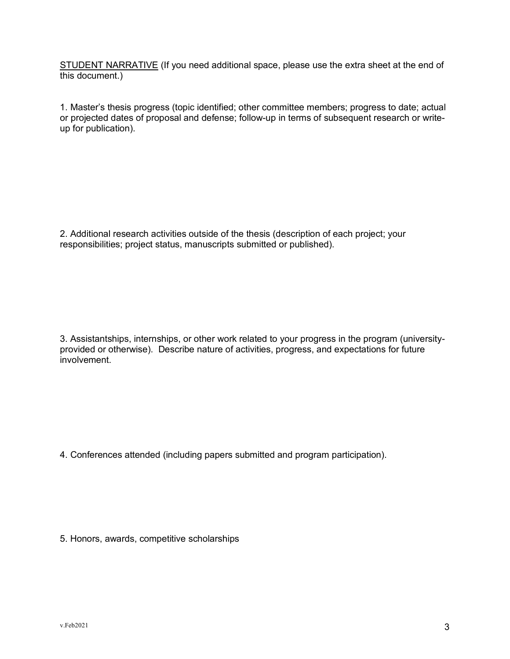STUDENT NARRATIVE (If you need additional space, please use the extra sheet at the end of this document.)

1. Master's thesis progress (topic identified; other committee members; progress to date; actual or projected dates of proposal and defense; follow-up in terms of subsequent research or writeup for publication).

2. Additional research activities outside of the thesis (description of each project; your responsibilities; project status, manuscripts submitted or published).

3. Assistantships, internships, or other work related to your progress in the program (universityprovided or otherwise). Describe nature of activities, progress, and expectations for future involvement.

4. Conferences attended (including papers submitted and program participation).

5. Honors, awards, competitive scholarships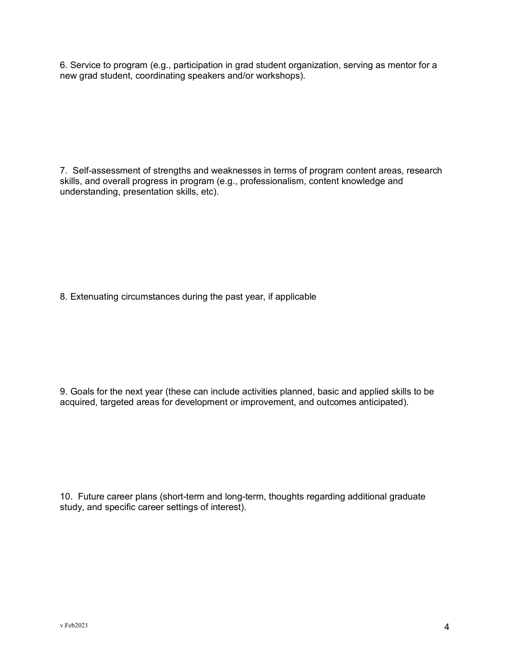6. Service to program (e.g., participation in grad student organization, serving as mentor for a new grad student, coordinating speakers and/or workshops).

7. Self-assessment of strengths and weaknesses in terms of program content areas, research skills, and overall progress in program (e.g., professionalism, content knowledge and understanding, presentation skills, etc).

8. Extenuating circumstances during the past year, if applicable

9. Goals for the next year (these can include activities planned, basic and applied skills to be acquired, targeted areas for development or improvement, and outcomes anticipated).

10. Future career plans (short-term and long-term, thoughts regarding additional graduate study, and specific career settings of interest).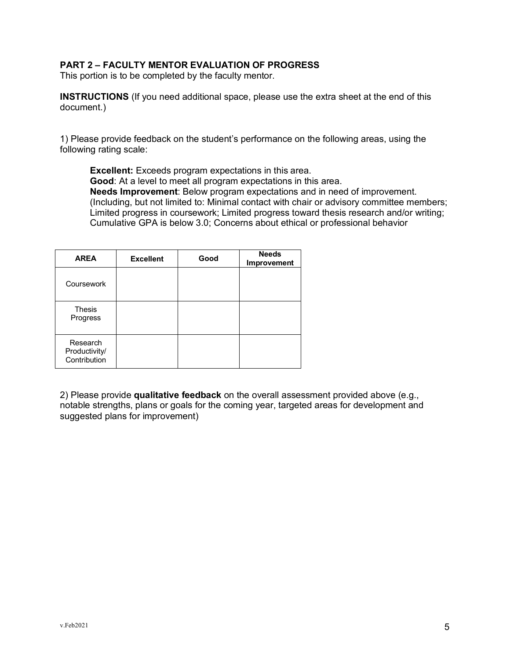#### **PART 2 – FACULTY MENTOR EVALUATION OF PROGRESS**

This portion is to be completed by the faculty mentor.

**INSTRUCTIONS** (If you need additional space, please use the extra sheet at the end of this document.)

1) Please provide feedback on the student's performance on the following areas, using the following rating scale:

**Excellent:** Exceeds program expectations in this area. **Good**: At a level to meet all program expectations in this area. **Needs Improvement**: Below program expectations and in need of improvement. (Including, but not limited to: Minimal contact with chair or advisory committee members; Limited progress in coursework; Limited progress toward thesis research and/or writing; Cumulative GPA is below 3.0; Concerns about ethical or professional behavior

| <b>AREA</b>                               | <b>Excellent</b> | Good | <b>Needs</b><br>Improvement |
|-------------------------------------------|------------------|------|-----------------------------|
| Coursework                                |                  |      |                             |
| <b>Thesis</b><br>Progress                 |                  |      |                             |
| Research<br>Productivity/<br>Contribution |                  |      |                             |

2) Please provide **qualitative feedback** on the overall assessment provided above (e.g., notable strengths, plans or goals for the coming year, targeted areas for development and suggested plans for improvement)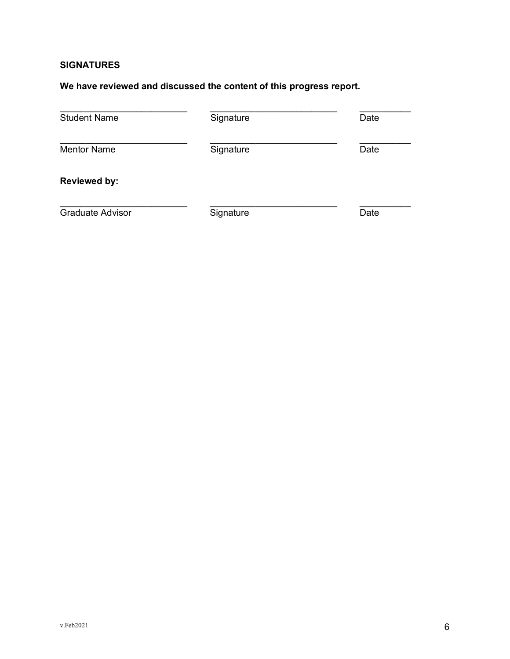# **SIGNATURES**

## **We have reviewed and discussed the content of this progress report.**

| <b>Student Name</b>     | Signature | Date |
|-------------------------|-----------|------|
| <b>Mentor Name</b>      | Signature | Date |
| <b>Reviewed by:</b>     |           |      |
| <b>Graduate Advisor</b> | Signature | Date |